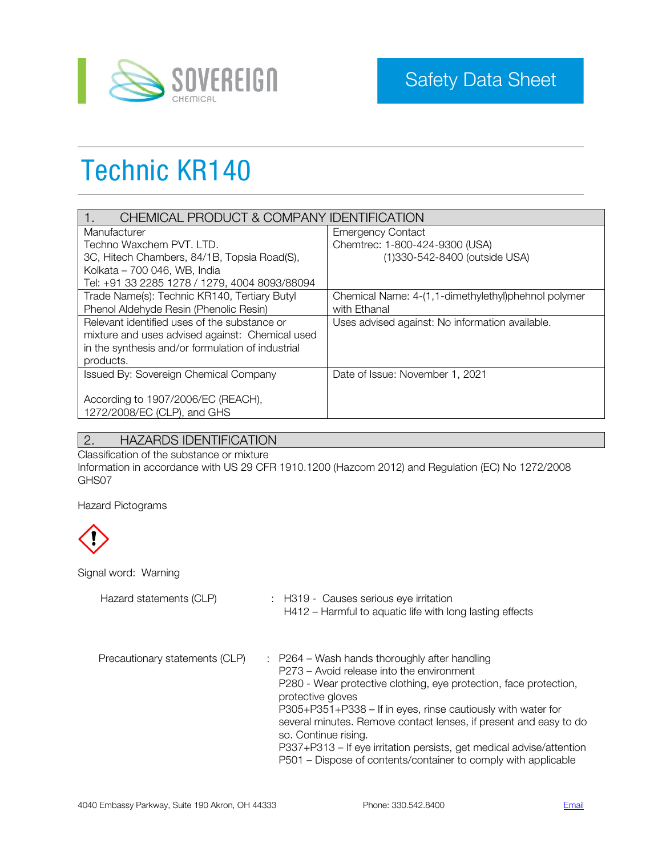

# Technic KR140

| CHEMICAL PRODUCT & COMPANY IDENTIFICATION         |                                                     |  |
|---------------------------------------------------|-----------------------------------------------------|--|
| Manufacturer                                      | <b>Emergency Contact</b>                            |  |
| Techno Waxchem PVT. LTD.                          | Chemtrec: 1-800-424-9300 (USA)                      |  |
| 3C, Hitech Chambers, 84/1B, Topsia Road(S),       | (1)330-542-8400 (outside USA)                       |  |
| Kolkata - 700 046, WB, India                      |                                                     |  |
| Tel: +91 33 2285 1278 / 1279, 4004 8093/88094     |                                                     |  |
| Trade Name(s): Technic KR140, Tertiary Butyl      | Chemical Name: 4-(1,1-dimethylethyl)phehnol polymer |  |
| Phenol Aldehyde Resin (Phenolic Resin)            | with Ethanal                                        |  |
| Relevant identified uses of the substance or      | Uses advised against: No information available.     |  |
| mixture and uses advised against: Chemical used   |                                                     |  |
| in the synthesis and/or formulation of industrial |                                                     |  |
| products.                                         |                                                     |  |
| <b>Issued By: Sovereign Chemical Company</b>      | Date of Issue: November 1, 2021                     |  |
|                                                   |                                                     |  |
| According to 1907/2006/EC (REACH),                |                                                     |  |
| 1272/2008/EC (CLP), and GHS                       |                                                     |  |

# 2. HAZARDS IDENTIFICATION

Classification of the substance or mixture Information in accordance with US 29 CFR 1910.1200 (Hazcom 2012) and Regulation (EC) No 1272/2008 GHS07

Hazard Pictograms



Signal word: Warning

| Hazard statements (CLP)        | : H319 - Causes serious eye irritation<br>H412 – Harmful to aquatic life with long lasting effects                                                                                                                                                                                                                                                                                                                                                                                        |
|--------------------------------|-------------------------------------------------------------------------------------------------------------------------------------------------------------------------------------------------------------------------------------------------------------------------------------------------------------------------------------------------------------------------------------------------------------------------------------------------------------------------------------------|
| Precautionary statements (CLP) | P264 – Wash hands thoroughly after handling<br>P273 – Avoid release into the environment<br>P280 - Wear protective clothing, eye protection, face protection,<br>protective gloves<br>P305+P351+P338 - If in eyes, rinse cautiously with water for<br>several minutes. Remove contact lenses, if present and easy to do<br>so. Continue rising.<br>P337+P313 – If eye irritation persists, get medical advise/attention<br>P501 – Dispose of contents/container to comply with applicable |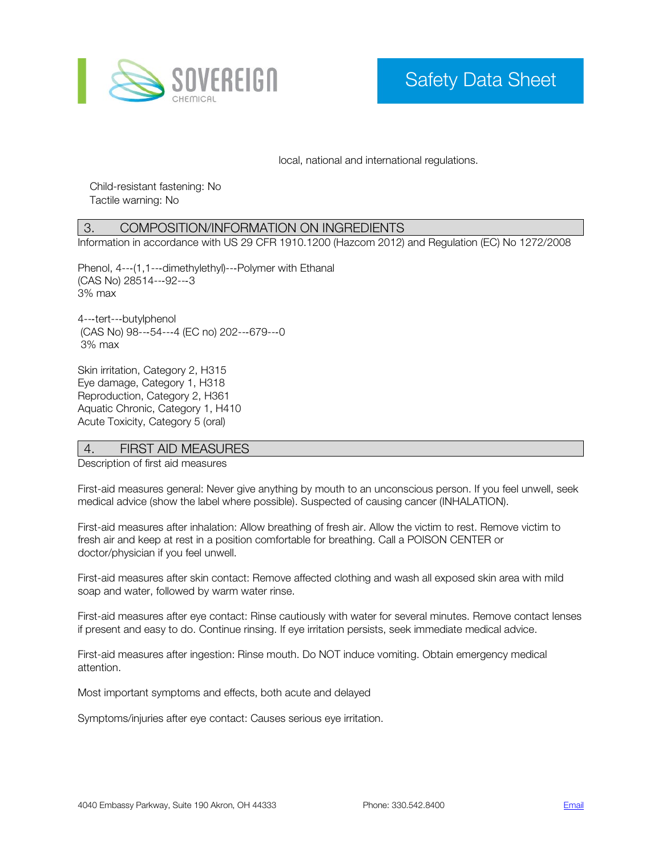

local, national and international regulations.

Child-resistant fastening: No Tactile warning: No

# 3. COMPOSITION/INFORMATION ON INGREDIENTS

Information in accordance with US 29 CFR 1910.1200 (Hazcom 2012) and Regulation (EC) No 1272/2008

Phenol, 4---(1,1---dimethylethyl)---Polymer with Ethanal (CAS No) 28514-‐92-‐3 3% max

4-‐tert-‐butylphenol (CAS No) 98-‐54-‐4 (EC no) 202-‐679-‐0 3% max

Skin irritation, Category 2, H315 Eye damage, Category 1, H318 Reproduction, Category 2, H361 Aquatic Chronic, Category 1, H410 Acute Toxicity, Category 5 (oral)

## 4. FIRST AID MEASURES

Description of first aid measures

First-aid measures general: Never give anything by mouth to an unconscious person. If you feel unwell, seek medical advice (show the label where possible). Suspected of causing cancer (INHALATION).

First-aid measures after inhalation: Allow breathing of fresh air. Allow the victim to rest. Remove victim to fresh air and keep at rest in a position comfortable for breathing. Call a POISON CENTER or doctor/physician if you feel unwell.

First-aid measures after skin contact: Remove affected clothing and wash all exposed skin area with mild soap and water, followed by warm water rinse.

First-aid measures after eye contact: Rinse cautiously with water for several minutes. Remove contact lenses if present and easy to do. Continue rinsing. If eye irritation persists, seek immediate medical advice.

First-aid measures after ingestion: Rinse mouth. Do NOT induce vomiting. Obtain emergency medical attention.

Most important symptoms and effects, both acute and delayed

Symptoms/injuries after eye contact: Causes serious eye irritation.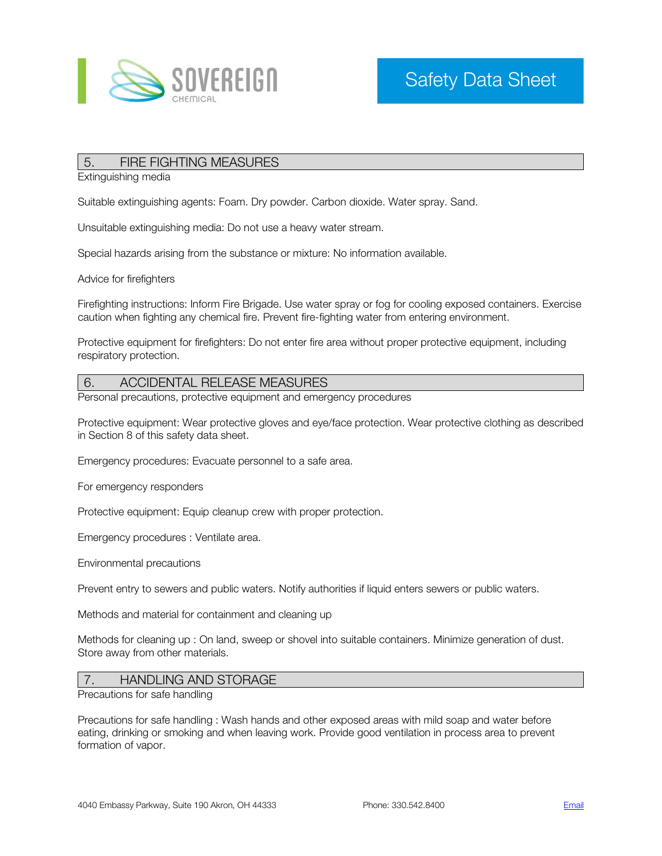

## 5. FIRE FIGHTING MEASURES

Extinguishing media

Suitable extinguishing agents: Foam. Dry powder. Carbon dioxide. Water spray. Sand.

Unsuitable extinguishing media: Do not use a heavy water stream.

Special hazards arising from the substance or mixture: No information available.

Advice for firefighters

Firefighting instructions: Inform Fire Brigade. Use water spray or fog for cooling exposed containers. Exercise caution when fighting any chemical fire. Prevent fire-fighting water from entering environment.

Protective equipment for firefighters: Do not enter fire area without proper protective equipment, including respiratory protection.

#### 6. ACCIDENTAL RELEASE MEASURES

Personal precautions, protective equipment and emergency procedures

Protective equipment: Wear protective gloves and eye/face protection. Wear protective clothing as described in Section 8 of this safety data sheet.

Emergency procedures: Evacuate personnel to a safe area.

For emergency responders

Protective equipment: Equip cleanup crew with proper protection.

Emergency procedures : Ventilate area.

Environmental precautions

Prevent entry to sewers and public waters. Notify authorities if liquid enters sewers or public waters.

Methods and material for containment and cleaning up

Methods for cleaning up : On land, sweep or shovel into suitable containers. Minimize generation of dust. Store away from other materials.

# 7. HANDLING AND STORAGE

Precautions for safe handling

Precautions for safe handling : Wash hands and other exposed areas with mild soap and water before eating, drinking or smoking and when leaving work. Provide good ventilation in process area to prevent formation of vapor.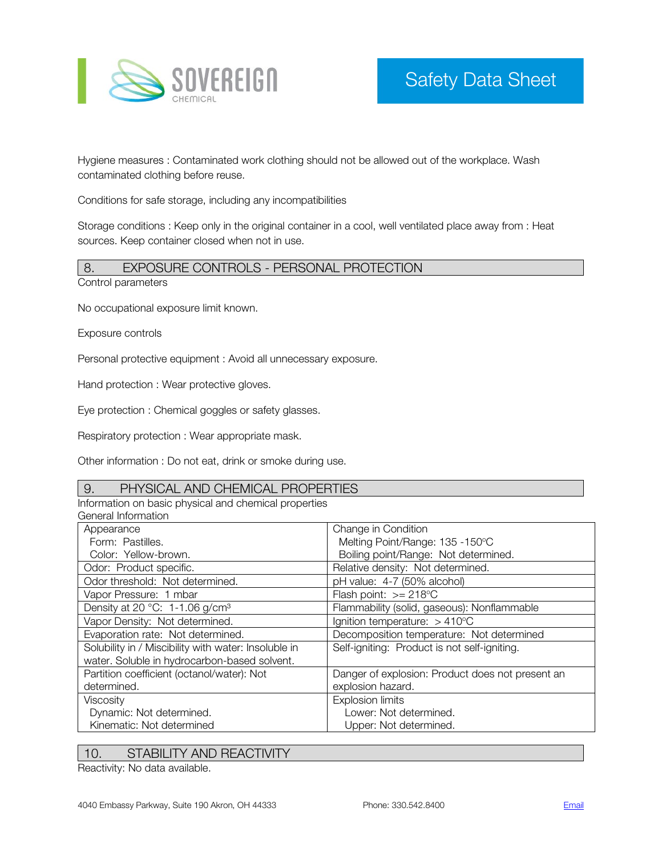

Hygiene measures : Contaminated work clothing should not be allowed out of the workplace. Wash contaminated clothing before reuse.

Conditions for safe storage, including any incompatibilities

Storage conditions : Keep only in the original container in a cool, well ventilated place away from : Heat sources. Keep container closed when not in use.

# 8. EXPOSURE CONTROLS - PERSONAL PROTECTION

Control parameters

No occupational exposure limit known.

Exposure controls

Personal protective equipment : Avoid all unnecessary exposure.

Hand protection : Wear protective gloves.

Eye protection : Chemical goggles or safety glasses.

Respiratory protection : Wear appropriate mask.

Other information : Do not eat, drink or smoke during use.

#### 9. PHYSICAL AND CHEMICAL PROPERTIES

Information on basic physical and chemical properties General Information

| uchciai inun iauun                                   |                                                  |  |
|------------------------------------------------------|--------------------------------------------------|--|
| Appearance                                           | Change in Condition                              |  |
| Form: Pastilles.                                     | Melting Point/Range: 135 -150°C                  |  |
| Color: Yellow-brown.                                 | Boiling point/Range: Not determined.             |  |
| Odor: Product specific.                              | Relative density: Not determined.                |  |
| Odor threshold: Not determined.                      | pH value: 4-7 (50% alcohol)                      |  |
| Vapor Pressure: 1 mbar                               | Flash point: $>= 218$ °C                         |  |
| Density at 20 °C: 1-1.06 g/cm <sup>3</sup>           | Flammability (solid, gaseous): Nonflammable      |  |
| Vapor Density: Not determined.                       | Ignition temperature: $>410^{\circ}$ C           |  |
| Evaporation rate: Not determined.                    | Decomposition temperature: Not determined        |  |
| Solubility in / Miscibility with water: Insoluble in | Self-igniting: Product is not self-igniting.     |  |
| water. Soluble in hydrocarbon-based solvent.         |                                                  |  |
| Partition coefficient (octanol/water): Not           | Danger of explosion: Product does not present an |  |
| determined.                                          | explosion hazard.                                |  |
| Viscosity                                            | <b>Explosion limits</b>                          |  |
| Dynamic: Not determined.                             | Lower: Not determined.                           |  |
| Kinematic: Not determined                            | Upper: Not determined.                           |  |

## 10. STABILITY AND REACTIVITY

Reactivity: No data available.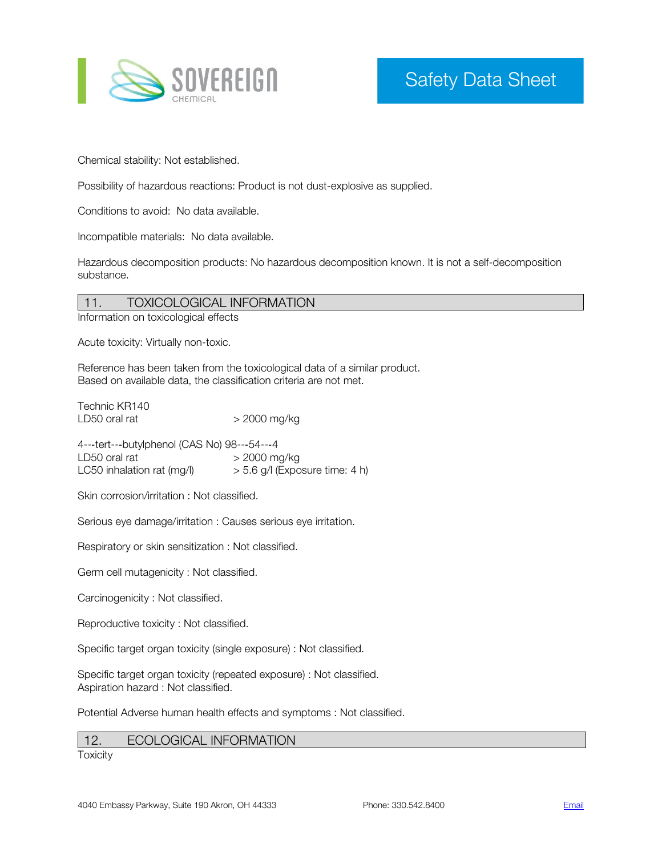

Chemical stability: Not established.

Possibility of hazardous reactions: Product is not dust-explosive as supplied.

Conditions to avoid: No data available.

Incompatible materials: No data available.

Hazardous decomposition products: No hazardous decomposition known. It is not a self-decomposition substance.

# 11. TOXICOLOGICAL INFORMATION

Information on toxicological effects

Acute toxicity: Virtually non-toxic.

Reference has been taken from the toxicological data of a similar product. Based on available data, the classification criteria are not met.

Technic KR140 LD50 oral rat  $>$  2000 mg/kg

4---tert---butylphenol (CAS No) 98---54---4<br>LD50 oral rat >> 2000 m  $>$  2000 mg/kg LC50 inhalation rat  $(mg/l)$   $>$  5.6 g/l (Exposure time: 4 h)

Skin corrosion/irritation : Not classified.

Serious eye damage/irritation : Causes serious eye irritation.

Respiratory or skin sensitization : Not classified.

Germ cell mutagenicity : Not classified.

Carcinogenicity : Not classified.

Reproductive toxicity : Not classified.

Specific target organ toxicity (single exposure) : Not classified.

Specific target organ toxicity (repeated exposure) : Not classified. Aspiration hazard : Not classified.

Potential Adverse human health effects and symptoms : Not classified.

# 12. ECOLOGICAL INFORMATION

**Toxicity**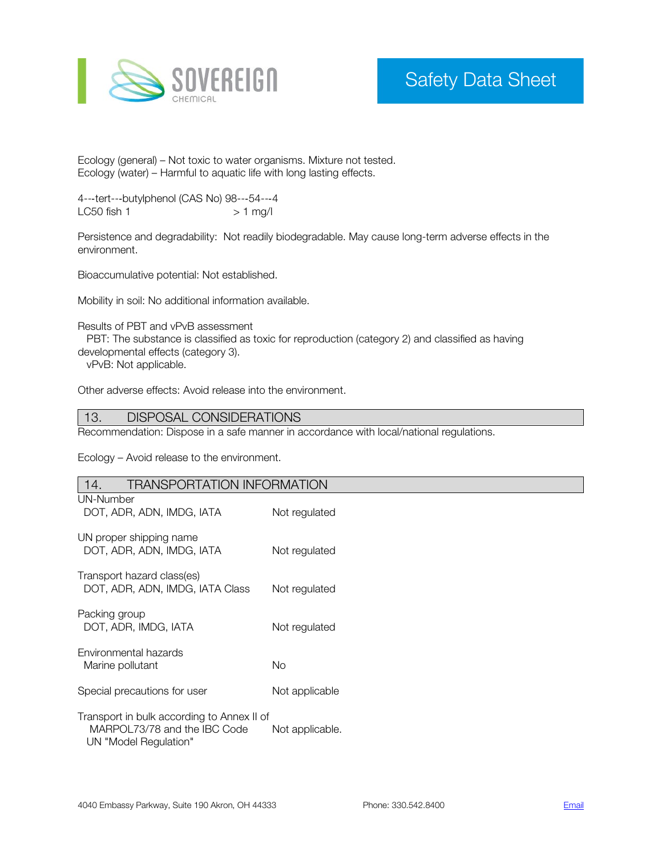

Ecology (general) – Not toxic to water organisms. Mixture not tested. Ecology (water) – Harmful to aquatic life with long lasting effects.

4---tert---butylphenol (CAS No) 98---54---4<br>LC50 fish 1 >> 1 mg/l  $LC50$  fish  $1$ 

Persistence and degradability: Not readily biodegradable. May cause long-term adverse effects in the environment.

Bioaccumulative potential: Not established.

Mobility in soil: No additional information available.

Results of PBT and vPvB assessment

 PBT: The substance is classified as toxic for reproduction (category 2) and classified as having developmental effects (category 3).

vPvB: Not applicable.

Other adverse effects: Avoid release into the environment.

#### 13. DISPOSAL CONSIDERATIONS

Recommendation: Dispose in a safe manner in accordance with local/national regulations.

Ecology – Avoid release to the environment.

| <b>TRANSPORTATION INFORMATION</b><br>14.                                                            |                 |  |
|-----------------------------------------------------------------------------------------------------|-----------------|--|
| UN-Number<br>DOT, ADR, ADN, IMDG, IATA                                                              | Not regulated   |  |
| UN proper shipping name<br>DOT, ADR, ADN, IMDG, IATA                                                | Not regulated   |  |
| Transport hazard class(es)<br>DOT, ADR, ADN, IMDG, IATA Class                                       | Not regulated   |  |
| Packing group<br>DOT, ADR, IMDG, IATA                                                               | Not regulated   |  |
| Environmental hazards<br>Marine pollutant                                                           | No.             |  |
| Special precautions for user                                                                        | Not applicable  |  |
| Transport in bulk according to Annex II of<br>MARPOL73/78 and the IBC Code<br>UN "Model Regulation" | Not applicable. |  |